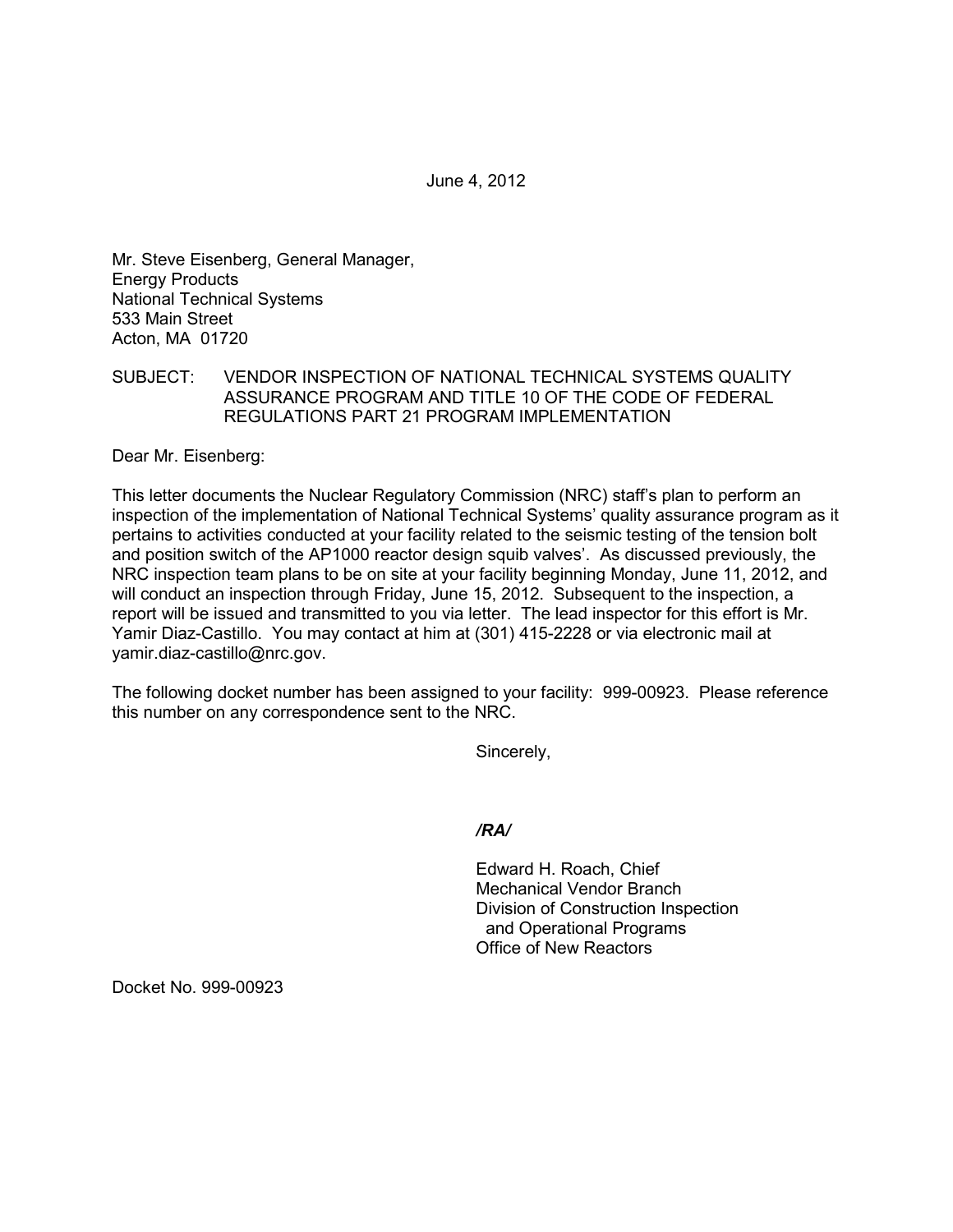June 4, 2012

Mr. Steve Eisenberg, General Manager, Energy Products National Technical Systems 533 Main Street Acton, MA 01720

# SUBJECT: VENDOR INSPECTION OF NATIONAL TECHNICAL SYSTEMS QUALITY ASSURANCE PROGRAM AND TITLE 10 OF THE CODE OF FEDERAL REGULATIONS PART 21 PROGRAM IMPLEMENTATION

Dear Mr. Eisenberg:

This letter documents the Nuclear Regulatory Commission (NRC) staff's plan to perform an inspection of the implementation of National Technical Systems' quality assurance program as it pertains to activities conducted at your facility related to the seismic testing of the tension bolt and position switch of the AP1000 reactor design squib valves'. As discussed previously, the NRC inspection team plans to be on site at your facility beginning Monday, June 11, 2012, and will conduct an inspection through Friday, June 15, 2012. Subsequent to the inspection, a report will be issued and transmitted to you via letter. The lead inspector for this effort is Mr. Yamir Diaz-Castillo. You may contact at him at (301) 415-2228 or via electronic mail at yamir.diaz-castillo@nrc.gov.

The following docket number has been assigned to your facility: 999-00923. Please reference this number on any correspondence sent to the NRC.

Sincerely,

*/RA/* 

Edward H. Roach, Chief Mechanical Vendor Branch Division of Construction Inspection and Operational Programs Office of New Reactors

Docket No. 999-00923